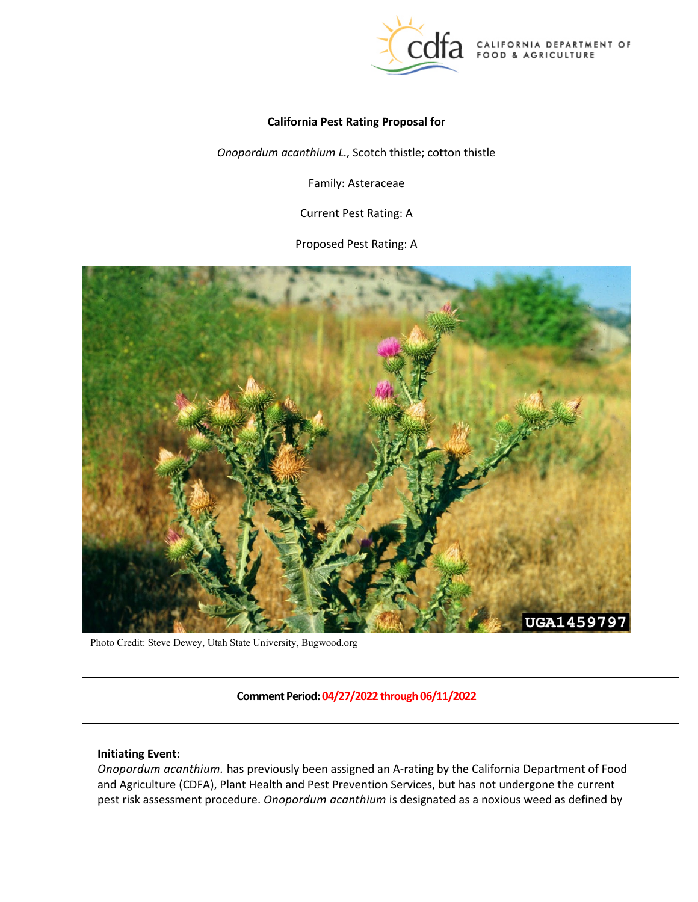

CALIFORNIA DEPARTMENT OF FOOD & AGRICULTURE

### **California Pest Rating Proposal for**

*Onopordum acanthium L.,* Scotch thistle; cotton thistle

Family: Asteraceae

Current Pest Rating: A

Proposed Pest Rating: A



Photo Credit: Steve Dewey, Utah State University, Bugwood.org

**Comment Period: 04/27/2022 through 06/11/2022** 

# **Initiating Event:**

 *Onopordum acanthium.* has previously been assigned an A-rating by the California Department of Food and Agriculture (CDFA), Plant Health and Pest Prevention Services, but has not undergone the current pest risk assessment procedure. *Onopordum acanthium* is designated as a noxious weed as defined by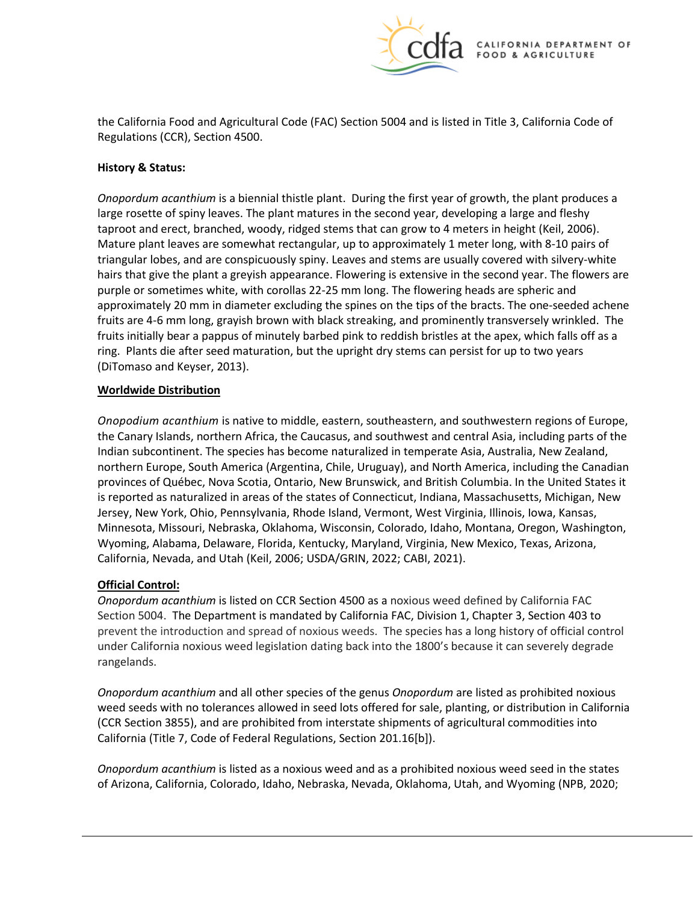

the California Food and Agricultural Code (FAC) Section 5004 and is listed in Title 3, California Code of Regulations (CCR), Section 4500.

# **History & Status:**

 *Onopordum acanthium* is a biennial thistle plant. During the first year of growth, the plant produces a large rosette of spiny leaves. The plant matures in the second year, developing a large and fleshy taproot and erect, branched, woody, ridged stems that can grow to 4 meters in height (Keil, 2006). triangular lobes, and are conspicuously spiny. Leaves and stems are usually covered with silvery-white approximately 20 mm in diameter excluding the spines on the tips of the bracts. The one-seeded achene fruits are 4-6 mm long, grayish brown with black streaking, and prominently transversely wrinkled. The ring. Plants die after seed maturation, but the upright dry stems can persist for up to two years Mature plant leaves are somewhat rectangular, up to approximately 1 meter long, with 8-10 pairs of hairs that give the plant a greyish appearance. Flowering is extensive in the second year. The flowers are purple or sometimes white, with corollas 22-25 mm long. The flowering heads are spheric and fruits initially bear a pappus of minutely barbed pink to reddish bristles at the apex, which falls off as a (DiTomaso and Keyser, 2013).

### **Worldwide Distribution**

 *Onopodium acanthium* is native to middle, eastern, southeastern, and southwestern regions of [Europe,](https://en.wikipedia.org/wiki/Europe) the Canary Islands, northern [Africa,](https://en.wikipedia.org/wiki/Africa) th[e Caucasus,](https://en.wikipedia.org/wiki/Caucasus) and southwest and centra[l Asia,](https://en.wikipedia.org/wiki/Asia) including parts of the provinces of Québec, Nova Scotia, Ontario, New Brunswick, and British Columbia. In the United States it is reported as naturalized in areas of the states of Connecticut, Indiana, Massachusetts, Michigan, New Jersey, New York, Ohio, Pennsylvania, Rhode Island, Vermont, West Virginia, Illinois, Iowa, Kansas, Minnesota, Missouri, Nebraska, Oklahoma, Wisconsin, Colorado, Idaho, Montana, Oregon, Washington, Indian subcontinent. The species has become naturalized in temperate Asia, Australia, New Zealand, northern Europe, South America (Argentina, Chile, Uruguay), and North America, including the Canadian Wyoming, Alabama, Delaware, Florida, Kentucky, Maryland, Virginia, New Mexico, Texas, Arizona, California, Nevada, and Utah (Keil, 2006; USDA/GRIN, 2022; CABI, 2021).

# **Official Control:**

 prevent the introduction and spread of noxious weeds. The species has a long history of official control *Onopordum acanthium* is listed on CCR Section 4500 as a noxious weed defined by California FAC Section 5004. The Department is mandated by California FAC, Division 1, Chapter 3, Section 403 to under California noxious weed legislation dating back into the 1800's because it can severely degrade rangelands.

 *Onopordum acanthium* and all other species of the genus *Onopordum* are listed as prohibited noxious California (Title 7, Code of Federal Regulations, Section 201.16[b]). weed seeds with no tolerances allowed in seed lots offered for sale, planting, or distribution in California (CCR Section 3855), and are prohibited from interstate shipments of agricultural commodities into

 *Onopordum acanthium* is listed as a noxious weed and as a prohibited noxious weed seed in the states of Arizona, California, Colorado, Idaho, Nebraska, Nevada, Oklahoma, Utah, and Wyoming (NPB, 2020;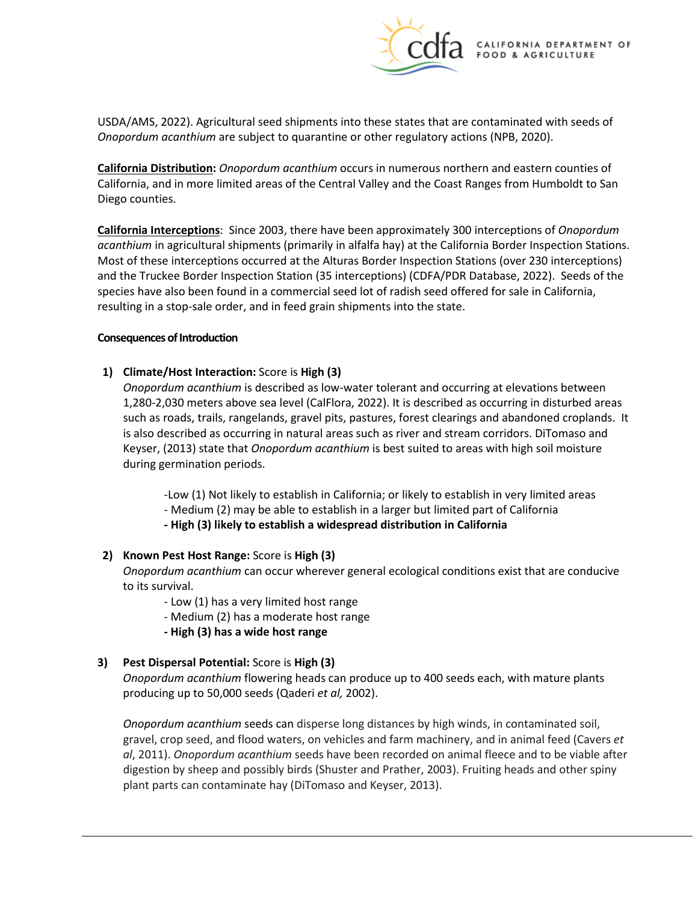

 USDA/AMS, 2022). Agricultural seed shipments into these states that are contaminated with seeds of *Onopordum acanthium* are subject to quarantine or other regulatory actions (NPB, 2020).

 Diego counties. **California Distribution:** *Onopordum acanthium* occurs in numerous northern and eastern counties of California, and in more limited areas of the Central Valley and the Coast Ranges from Humboldt to San

 **California Interceptions**: Since 2003, there have been approximately 300 interceptions of *Onopordum*  and the Truckee Border Inspection Station (35 interceptions) (CDFA/PDR Database, 2022). Seeds of the resulting in a stop-sale order, and in feed grain shipments into the state. *acanthium* in agricultural shipments (primarily in alfalfa hay) at the California Border Inspection Stations. Most of these interceptions occurred at the Alturas Border Inspection Stations (over 230 interceptions) species have also been found in a commercial seed lot of radish seed offered for sale in California,

### **Consequences of Introduction**

# **1)** Climate/Host Interaction: Score is High (3)

 *Onopordum acanthium* is described as low-water tolerant and occurring at elevations between 1,280-2,030 meters above sea level (CalFlora, 2022). It is described as occurring in disturbed areas such as roads, trails, rangelands, gravel pits, pastures, forest clearings and abandoned croplands. It is also described as occurring in natural areas such as river and stream corridors. DiTomaso and Keyser, (2013) state that *Onopordum acanthium* is best suited to areas with high soil moisture during germination periods.

-Low (1) Not likely to establish in California; or likely to establish in very limited areas

- Medium (2) may be able to establish in a larger but limited part of California

 **- High (3) likely to establish a widespread distribution in California** 

# **2) Known Pest Host Range:** Score is **High (3)**

*Onopordum acanthium* can occur wherever general ecological conditions exist that are conducive to its survival.

- Low (1) has a very limited host range
- Medium (2) has a moderate host range
- **- High (3) has a wide host range**

# **3) Pest Dispersal Potential:** Score is **High (3)**

 *Onopordum acanthium* flowering heads can produce up to 400 seeds each, with mature plants producing up to 50,000 seeds (Qaderi *et al,* 2002).

 *Onopordum acanthium* seeds can disperse long distances by high winds, in contaminated soil, gravel, crop seed, and flood waters, on vehicles and farm machinery, and in animal feed (Cavers *et al*, 2011). *Onopordum acanthium* seeds have been recorded on animal fleece and to be viable after digestion by sheep and possibly birds (Shuster and Prather, 2003). Fruiting heads and other spiny plant parts can contaminate hay (DiTomaso and Keyser, 2013).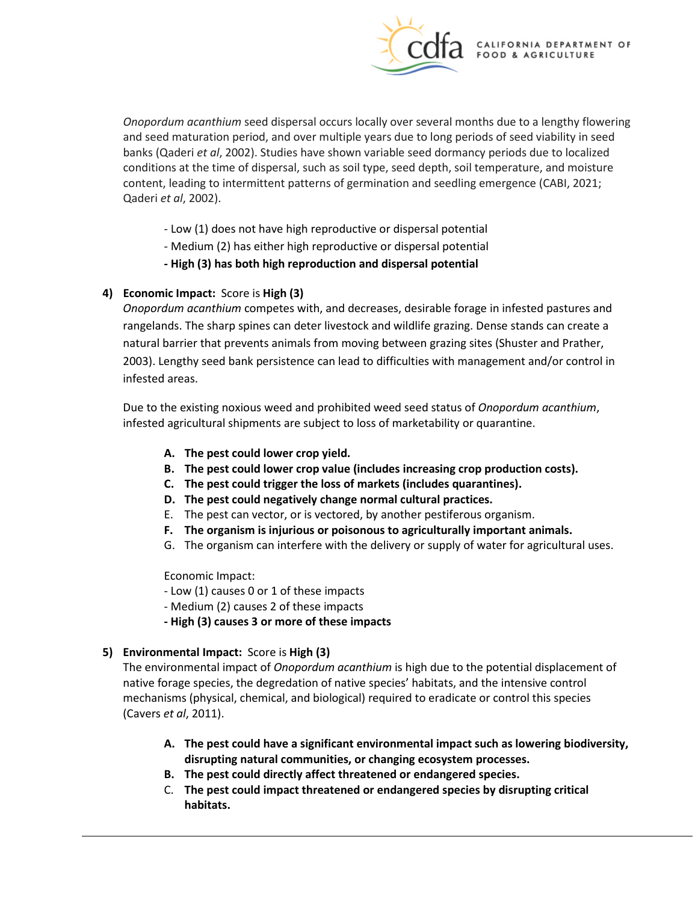

 *Onopordum acanthium* seed dispersal occurs locally over several months due to a lengthy flowering banks (Qaderi *et al*, 2002). Studies have shown variable seed dormancy periods due to localized conditions at the time of dispersal, such as soil type, seed depth, soil temperature, and moisture Qaderi *et al*, 2002). and seed maturation period, and over multiple years due to long periods of seed viability in seed content, leading to intermittent patterns of germination and seedling emergence (CABI, 2021;

- Low (1) does not have high reproductive or dispersal potential
- Medium (2) has either high reproductive or dispersal potential
- **- High (3) has both high reproduction and dispersal potential**

# **4) Economic Impact:** Score is **High (3)**

 rangelands. The sharp spines can deter livestock and wildlife grazing. Dense stands can create a *Onopordum acanthium* competes with, and decreases, desirable forage in infested pastures and natural barrier that prevents animals from moving between grazing sites (Shuster and Prather, 2003). Lengthy seed bank persistence can lead to difficulties with management and/or control in infested areas.

 Due to the existing noxious weed and prohibited weed seed status of *Onopordum acanthium*, infested agricultural shipments are subject to loss of marketability or quarantine.

- **A. The pest could lower crop yield.**
- **B. The pest could lower crop value (includes increasing crop production costs).**
- **C. The pest could trigger the loss of markets (includes quarantines).**
- **D. The pest could negatively change normal cultural practices.**
- E. The pest can vector, or is vectored, by another pestiferous organism.
- **F. The organism is injurious or poisonous to agriculturally important animals.**
- G. The organism can interfere with the delivery or supply of water for agricultural uses.

Economic Impact:

- Low (1) causes 0 or 1 of these impacts
- Medium (2) causes 2 of these impacts
- **- High (3) causes 3 or more of these impacts**

# **5) Environmental Impact:** Score is **High (3)**

 The environmental impact of *Onopordum acanthium* is high due to the potential displacement of native forage species, the degredation of native species' habitats, and the intensive control mechanisms (physical, chemical, and biological) required to eradicate or control this species (Cavers *et al*, 2011).

- **A. The pest could have a significant environmental impact such as lowering biodiversity, disrupting natural communities, or changing ecosystem processes.**
- **B. The pest could directly affect threatened or endangered species.**
- C. **The pest could impact threatened or endangered species by disrupting critical habitats.**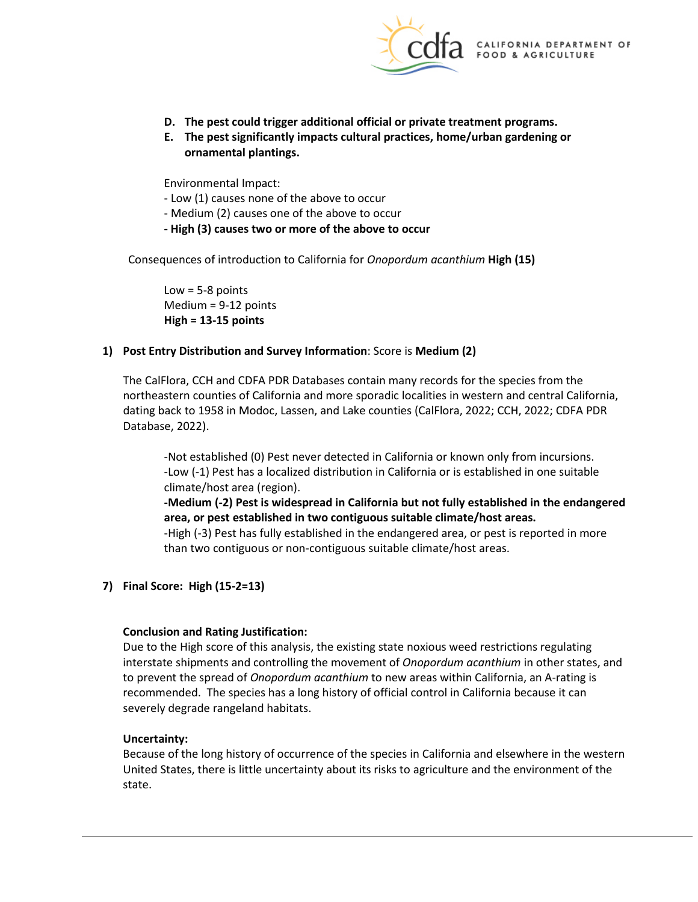

- **D. The pest could trigger additional official or private treatment programs.**
- **E. The pest significantly impacts cultural practices, home/urban gardening or ornamental plantings.**

Environmental Impact:

- Low (1) causes none of the above to occur
- Medium (2) causes one of the above to occur
- **- High (3) causes two or more of the above to occur**

 Consequences of introduction to California for *Onopordum acanthium* **High (15)** 

 $Low = 5-8$  points Medium = 9-12 points **High = 13-15 points** 

# **1) Post Entry Distribution and Survey Information**: Score is **Medium (2)**

 The CalFlora, CCH and CDFA PDR Databases contain many records for the species from the northeastern counties of California and more sporadic localities in western and central California, dating back to 1958 in Modoc, Lassen, and Lake counties (CalFlora, 2022; CCH, 2022; CDFA PDR Database, 2022).

-Not established (0) Pest never detected in California or known only from incursions. -Low (-1) Pest has a localized distribution in California or is established in one suitable climate/host area (region).

 **-Medium (-2) Pest is widespread in California but not fully established in the endangered area, or pest established in two contiguous suitable climate/host areas.** 

 than two contiguous or non-contiguous suitable climate/host areas. -High (-3) Pest has fully established in the endangered area, or pest is reported in more

# **7) Final Score: High (15-2=13)**

# **Conclusion and Rating Justification:**

 interstate shipments and controlling the movement of *Onopordum acanthium* in other states, and recommended. The species has a long history of official control in California because it can severely degrade rangeland habitats. Due to the High score of this analysis, the existing state noxious weed restrictions regulating to prevent the spread of *Onopordum acanthium* to new areas within California, an A-rating is

# **Uncertainty:**

 state. Because of the long history of occurrence of the species in California and elsewhere in the western United States, there is little uncertainty about its risks to agriculture and the environment of the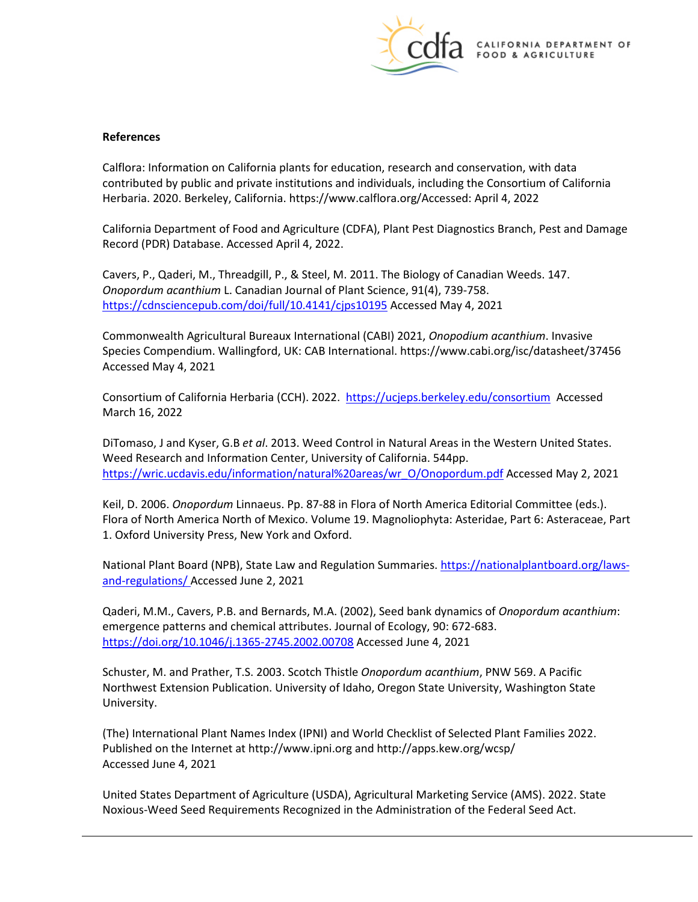

#### **References**

[Calflora:](https://www.calflora.org/) Information on California plants for education, research and conservation, with data contributed by public and private institutions and individuals, including the [Consortium of California](http://ucjeps.berkeley.edu/consortium/about.html)  [Herbaria.](http://ucjeps.berkeley.edu/consortium/about.html) 2020. Berkeley, California[. https://www.calflora.org/A](https://www.calflora.org/7)ccessed: April 4, 2022

 California Department of Food and Agriculture (CDFA), Plant Pest Diagnostics Branch, Pest and Damage Record (PDR) Database. Accessed April 4, 2022.

 Cavers, P., Qaderi, M., Threadgill, P., & Steel, M. 2011. The Biology of Canadian Weeds. 147. *Onopordum acanthium* L. Canadian Journal of Plant Science, 91(4), 739-758. <https://cdnsciencepub.com/doi/full/10.4141/cjps10195>Accessed May 4, 2021

Commonwealth Agricultural Bureaux International (CABI) 2021, *Onopodium acanthium*. Invasive Species Compendium. Wallingford, UK: CAB International.<https://www.cabi.org/isc/datasheet/37456> Accessed May 4, 2021

Consortium of California Herbaria (CCH). 2022.<https://ucjeps.berkeley.edu/consortium>Accessed March 16, 2022

 DiTomaso, J and Kyser, G.B *et al*. 2013. Weed Control in Natural Areas in the Western United States. Weed Research and Information Center, University of California. 544pp. [https://wric.ucdavis.edu/information/natural%20areas/wr\\_O/Onopordum.pdf](https://wric.ucdavis.edu/information/natural%20areas/wr_O/Onopordum.pdf) Accessed May 2, 2021

 Keil, D. 2006. *Onopordum* Linnaeus. Pp. 87-88 in Flora of North America Editorial Committee (eds.). Flora of North America North of Mexico. Volume 19. Magnoliophyta: Asteridae, Part 6: Asteraceae, Part 1. Oxford University Press, New York and Oxford.

National Plant Board (NPB), State Law and Regulation Summaries[. https://nationalplantboard.org/laws](https://nationalplantboard.org/laws-and-regulations/)[and-regulations/](https://nationalplantboard.org/laws-and-regulations/) Accessed June 2, 2021

 Qaderi, M.M., Cavers, P.B. and Bernards, M.A. (2002), Seed bank dynamics of *Onopordum acanthium*: emergence patterns and chemical attributes. Journal of Ecology, 90: 672-683. <https://doi.org/10.1046/j.1365-2745.2002.00708>Accessed June 4, 2021

Schuster, M. and Prather, T.S. 2003. Scotch Thistle *Onopordum acanthium*, PNW 569. A Pacific Northwest Extension Publication. University of Idaho, Oregon State University, Washington State University.

(The) International Plant Names Index (IPNI) and World Checklist of Selected Plant Families 2022. Published on the Internet at <http://www.ipni.org>an[d http://apps.kew.org/wcsp/](http://apps.kew.org/wcsp/)  Accessed June 4, 2021

 United States Department of Agriculture (USDA), Agricultural Marketing Service (AMS). 2022. State Noxious-Weed Seed Requirements Recognized in the Administration of the Federal Seed Act.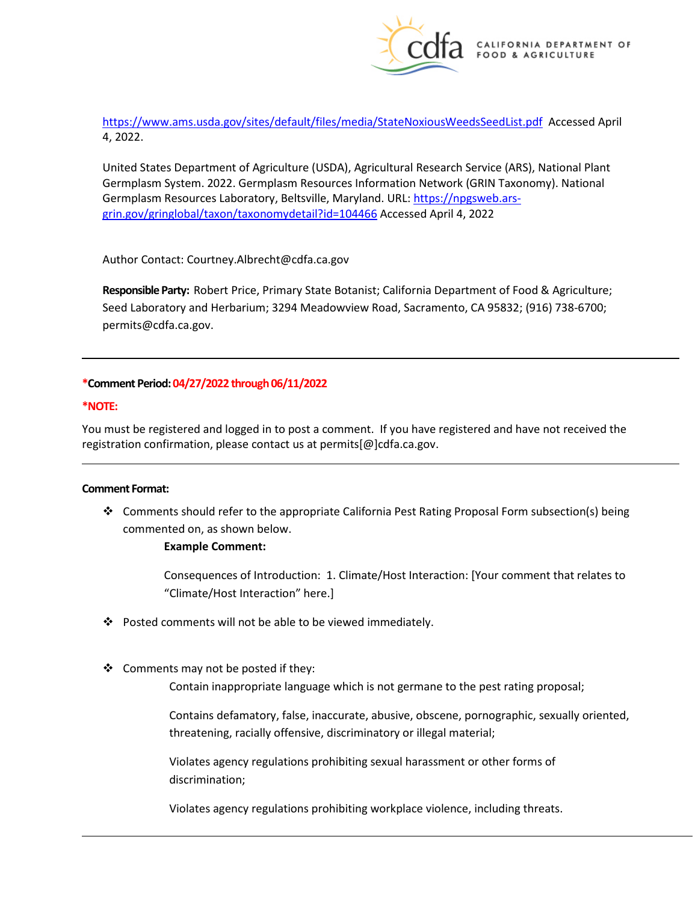

 <https://www.ams.usda.gov/sites/default/files/media/StateNoxiousWeedsSeedList.pdf>Accessed April 4, 2022.

 United States Department of Agriculture (USDA), Agricultural Research Service (ARS), National Plant Germplasm System. 2022. Germplasm Resources Information Network (GRIN Taxonomy). National [grin.gov/gringlobal/taxon/taxonomydetail?id=104466](https://npgsweb.ars-grin.gov/gringlobal/taxon/taxonomydetail?id=104466) Accessed April 4, 2022 Germplasm Resources Laboratory, Beltsville, Maryland. URL: [https://npgsweb.ars-](https://npgsweb.ars-grin.gov/gringlobal/taxon/taxonomydetail?id=104466)

Author Contact: [Courtney.Albrecht@cdfa.ca.gov](mailto:Courtney.Albrecht@cdfa.ca.gov)

 **Responsible Party:** Robert Price, Primary State Botanist; California Department of Food & Agriculture; Seed Laboratory and Herbarium; 3294 Meadowview Road, Sacramento, CA 95832; (916) 738-6700; [permits@cdfa.ca.gov.](mailto:permits@cdfa.ca.gov)

### **\*Comment Period: 04/27/2022 through 06/11/2022**

#### **\*NOTE:**

You must be registered and logged in to post a comment. If you have registered and have not received the registration confirmation, please contact us at [permits\[@\]cdfa.ca.gov](https://permits[@]cdfa.ca.gov).

#### **Comment Format:**

 commented on, as shown below. Comments should refer to the appropriate California Pest Rating Proposal Form subsection(s) being

#### **Example Comment:**

 Consequences of Introduction: 1. Climate/Host Interaction: [Your comment that relates to "Climate/Host Interaction" here.]

- $\cdot$  Posted comments will not be able to be viewed immediately.
- Contain inappropriate language which is not germane to the pest rating proposal; ❖ Comments may not be posted if they:

 Contains defamatory, false, inaccurate, abusive, obscene, pornographic, sexually oriented, threatening, racially offensive, discriminatory or illegal material;

Violates agency regulations prohibiting sexual harassment or other forms of discrimination;

Violates agency regulations prohibiting workplace violence, including threats.